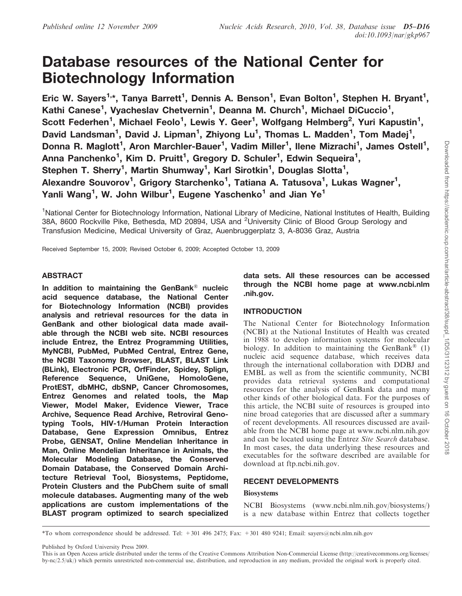# Database resources of the National Center for Biotechnology Information

Eric W. Sayers<sup>1,\*</sup>, Tanya Barrett<sup>1</sup>, Dennis A. Benson<sup>1</sup>, Evan Bolton<sup>1</sup>, Stephen H. Bryant<sup>1</sup>, Kathi Canese<sup>1</sup>, Vyacheslav Chetvernin<sup>1</sup>, Deanna M. Church<sup>1</sup>, Michael DiCuccio<sup>1</sup>, Scott Federhen<sup>1</sup>, Michael Feolo<sup>1</sup>, Lewis Y. Geer<sup>1</sup>, Wolfgang Helmberg<sup>2</sup>, Yuri Kapustin<sup>1</sup>, David Landsman<sup>1</sup>, David J. Lipman<sup>1</sup>, Zhiyong Lu<sup>1</sup>, Thomas L. Madden<sup>1</sup>, Tom Madej<sup>1</sup>, Donna R. Maglott<sup>1</sup>, Aron Marchler-Bauer<sup>1</sup>, Vadim Miller<sup>1</sup>, Ilene Mizrachi<sup>1</sup>, James Ostell<sup>1</sup>, Anna Panchenko<sup>1</sup>, Kim D. Pruitt<sup>1</sup>, Gregory D. Schuler<sup>1</sup>, Edwin Sequeira<sup>1</sup>, Stephen T. Sherry<sup>1</sup>, Martin Shumway<sup>1</sup>, Karl Sirotkin<sup>1</sup>, Douglas Slotta<sup>1</sup>, Alexandre Souvorov<sup>1</sup>, Grigory Starchenko<sup>1</sup>, Tatiana A. Tatusova<sup>1</sup>, Lukas Wagner<sup>1</sup>, Yanli Wang<sup>1</sup>, W. John Wilbur<sup>1</sup>, Eugene Yaschenko<sup>1</sup> and Jian Ye<sup>1</sup>

<sup>1</sup>National Center for Biotechnology Information, National Library of Medicine, National Institutes of Health, Building 38A, 8600 Rockville Pike, Bethesda, MD 20894, USA and <sup>2</sup>University Clinic of Blood Group Serology and Transfusion Medicine, Medical University of Graz, Auenbruggerplatz 3, A-8036 Graz, Austria

Received September 15, 2009; Revised October 6, 2009; Accepted October 13, 2009

## ABSTRACT

In addition to maintaining the GenBank® nucleic acid sequence database, the National Center for Biotechnology Information (NCBI) provides analysis and retrieval resources for the data in GenBank and other biological data made available through the NCBI web site. NCBI resources include Entrez, the Entrez Programming Utilities, MyNCBI, PubMed, PubMed Central, Entrez Gene, the NCBI Taxonomy Browser, BLAST, BLAST Link (BLink), Electronic PCR, OrfFinder, Spidey, Splign, Reference Sequence, UniGene, HomoloGene, ProtEST, dbMHC, dbSNP, Cancer Chromosomes, Entrez Genomes and related tools, the Map Viewer, Model Maker, Evidence Viewer, Trace Archive, Sequence Read Archive, Retroviral Genotyping Tools, HIV-1/Human Protein Interaction Database, Gene Expression Omnibus, Entrez Probe, GENSAT, Online Mendelian Inheritance in Man, Online Mendelian Inheritance in Animals, the Molecular Modeling Database, the Conserved Domain Database, the Conserved Domain Architecture Retrieval Tool, Biosystems, Peptidome, Protein Clusters and the PubChem suite of small molecule databases. Augmenting many of the web applications are custom implementations of the BLAST program optimized to search specialized data sets. All these resources can be accessed through the NCBI home page at www.ncbi.nlm .nih.gov.

# INTRODUCTION

The National Center for Biotechnology Information (NCBI) at the National Institutes of Health was created in 1988 to develop information systems for molecular biology. In addition to maintaining the GenBank® (1) nucleic acid sequence database, which receives data through the international collaboration with DDBJ and EMBL as well as from the scientific community, NCBI provides data retrieval systems and computational resources for the analysis of GenBank data and many other kinds of other biological data. For the purposes of this article, the NCBI suite of resources is grouped into nine broad categories that are discussed after a summary of recent developments. All resources discussed are available from the NCBI home page at www.ncbi.nlm.nih.gov and can be located using the Entrez Site Search database. In most cases, the data underlying these resources and executables for the software described are available for download at ftp.ncbi.nih.gov.

# RECENT DEVELOPMENTS

## Biosystems

NCBI Biosystems (www.ncbi.nlm.nih.gov/biosystems/) is a new database within Entrez that collects together

\*To whom correspondence should be addressed. Tel: +301 496 2475; Fax: +301 480 9241; Email: sayers@ncbi.nlm.nih.gov

Published by Oxford University Press 2009.

This is an Open Access article distributed under the terms of the Creative Commons Attribution Non-Commercial License (http://creativecommons.org/licenses/  $by-nc/2.5/uk/$ ) which permits unrestricted non-commercial use, distribution, and reproduction in any medium, provided the original work is properly cited.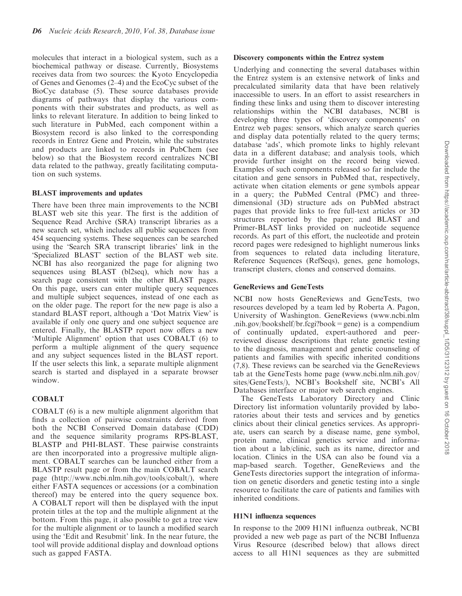molecules that interact in a biological system, such as a biochemical pathway or disease. Currently, Biosystems receives data from two sources: the Kyoto Encyclopedia of Genes and Genomes (2–4) and the EcoCyc subset of the BioCyc database (5). These source databases provide diagrams of pathways that display the various components with their substrates and products, as well as links to relevant literature. In addition to being linked to such literature in PubMed, each component within a Biosystem record is also linked to the corresponding records in Entrez Gene and Protein, while the substrates and products are linked to records in PubChem (see below) so that the Biosystem record centralizes NCBI data related to the pathway, greatly facilitating computation on such systems.

#### BLAST improvements and updates

There have been three main improvements to the NCBI BLAST web site this year. The first is the addition of Sequence Read Archive (SRA) transcript libraries as a new search set, which includes all public sequences from 454 sequencing systems. These sequences can be searched using the 'Search SRA transcript libraries' link in the 'Specialized BLAST' section of the BLAST web site. NCBI has also reorganized the page for aligning two sequences using BLAST (bl2seq), which now has a search page consistent with the other BLAST pages. On this page, users can enter multiple query sequences and multiple subject sequences, instead of one each as on the older page. The report for the new page is also a standard BLAST report, although a 'Dot Matrix View' is available if only one query and one subject sequence are entered. Finally, the BLASTP report now offers a new 'Multiple Alignment' option that uses COBALT (6) to perform a multiple alignment of the query sequence and any subject sequences listed in the BLAST report. If the user selects this link, a separate multiple alignment search is started and displayed in a separate browser window.

#### COBALT

COBALT (6) is a new multiple alignment algorithm that finds a collection of pairwise constraints derived from both the NCBI Conserved Domain database (CDD) and the sequence similarity programs RPS-BLAST, BLASTP and PHI-BLAST. These pairwise constraints are then incorporated into a progressive multiple alignment. COBALT searches can be launched either from a BLASTP result page or from the main COBALT search page (http://www.ncbi.nlm.nih.gov/tools/cobalt/), where either FASTA sequences or accessions (or a combination thereof) may be entered into the query sequence box. A COBALT report will then be displayed with the input protein titles at the top and the multiple alignment at the bottom. From this page, it also possible to get a tree view for the multiple alignment or to launch a modified search using the 'Edit and Resubmit' link. In the near future, the tool will provide additional display and download options such as gapped FASTA.

#### Discovery components within the Entrez system

Underlying and connecting the several databases within the Entrez system is an extensive network of links and precalculated similarity data that have been relatively inaccessible to users. In an effort to assist researchers in finding these links and using them to discover interesting relationships within the NCBI databases, NCBI is developing three types of 'discovery components' on Entrez web pages: sensors, which analyze search queries and display data potentially related to the query terms; database 'ads', which promote links to highly relevant data in a different database; and analysis tools, which provide further insight on the record being viewed. Examples of such components released so far include the citation and gene sensors in PubMed that, respectively, activate when citation elements or gene symbols appear in a query; the PubMed Central (PMC) and threedimensional (3D) structure ads on PubMed abstract pages that provide links to free full-text articles or 3D structures reported by the paper; and BLAST and Primer-BLAST links provided on nucleotide sequence records. As part of this effort, the nucleotide and protein record pages were redesigned to highlight numerous links from sequences to related data including literature, Reference Sequences (RefSeqs), genes, gene homologs, transcript clusters, clones and conserved domains.

#### GeneReviews and GeneTests

NCBI now hosts GeneReviews and GeneTests, two resources developed by a team led by Roberta A. Pagon, University of Washington. GeneReviews (www.ncbi.nlm .nih.gov/bookshelf/br.fcgi?book=gene) is a compendium of continually updated, expert-authored and peerreviewed disease descriptions that relate genetic testing to the diagnosis, management and genetic counseling of patients and families with specific inherited conditions (7,8). These reviews can be searched via the GeneReviews tab at the GeneTests home page (www.ncbi.nlm.nih.gov/ sites/GeneTests/), NCBI's Bookshelf site, NCBI's All Databases interface or major web search engines.

The GeneTests Laboratory Directory and Clinic Directory list information voluntarily provided by laboratories about their tests and services and by genetics clinics about their clinical genetics services. As appropriate, users can search by a disease name, gene symbol, protein name, clinical genetics service and information about a lab/clinic, such as its name, director and location. Clinics in the USA can also be found via a map-based search. Together, GeneReviews and the GeneTests directories support the integration of information on genetic disorders and genetic testing into a single resource to facilitate the care of patients and families with inherited conditions.

#### H1N1 influenza sequences

In response to the 2009 H1N1 influenza outbreak, NCBI provided a new web page as part of the NCBI Influenza Virus Resource (described below) that allows direct access to all H1N1 sequences as they are submitted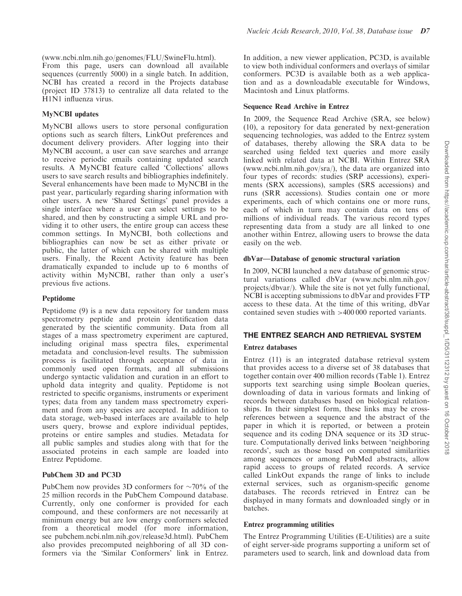(www.ncbi.nlm.nih.go/genomes/FLU/SwineFlu.html).

From this page, users can download all available sequences (currently 5000) in a single batch. In addition, NCBI has created a record in the Projects database (project ID 37813) to centralize all data related to the H1N1 influenza virus.

## MyNCBI updates

MyNCBI allows users to store personal configuration options such as search filters, LinkOut preferences and document delivery providers. After logging into their MyNCBI account, a user can save searches and arrange to receive periodic emails containing updated search results. A MyNCBI feature called 'Collections' allows users to save search results and bibliographies indefinitely. Several enhancements have been made to MyNCBI in the past year, particularly regarding sharing information with other users. A new 'Shared Settings' panel provides a single interface where a user can select settings to be shared, and then by constructing a simple URL and providing it to other users, the entire group can access these common settings. In MyNCBI, both collections and bibliographies can now be set as either private or public, the latter of which can be shared with multiple users. Finally, the Recent Activity feature has been dramatically expanded to include up to 6 months of activity within MyNCBI, rather than only a user's previous five actions.

## Peptidome

Peptidome (9) is a new data repository for tandem mass spectrometry peptide and protein identification data generated by the scientific community. Data from all stages of a mass spectrometry experiment are captured, including original mass spectra files, experimental metadata and conclusion-level results. The submission process is facilitated through acceptance of data in commonly used open formats, and all submissions undergo syntactic validation and curation in an effort to uphold data integrity and quality. Peptidome is not restricted to specific organisms, instruments or experiment types; data from any tandem mass spectrometry experiment and from any species are accepted. In addition to data storage, web-based interfaces are available to help users query, browse and explore individual peptides, proteins or entire samples and studies. Metadata for all public samples and studies along with that for the associated proteins in each sample are loaded into Entrez Peptidome.

## PubChem 3D and PC3D

PubChem now provides 3D conformers for  $\sim$ 70% of the 25 million records in the PubChem Compound database. Currently, only one conformer is provided for each compound, and these conformers are not necessarily at minimum energy but are low energy conformers selected from a theoretical model (for more information, see pubchem.ncbi.nlm.nih.gov/release3d.html). PubChem also provides precomputed neighboring of all 3D conformers via the 'Similar Conformers' link in Entrez.

Nucleic Acids Research, 2010, Vol. 38, Database issue D7

## Sequence Read Archive in Entrez

Macintosh and Linux platforms.

In 2009, the Sequence Read Archive (SRA, see below) (10), a repository for data generated by next-generation sequencing technologies, was added to the Entrez system of databases, thereby allowing the SRA data to be searched using fielded text queries and more easily linked with related data at NCBI. Within Entrez SRA (www.ncbi.nlm.nih.gov/sra/), the data are organized into four types of records: studies (SRP accessions), experiments (SRX accessions), samples (SRS accessions) and runs (SRR accessions). Studies contain one or more experiments, each of which contains one or more runs, each of which in turn may contain data on tens of millions of individual reads. The various record types representing data from a study are all linked to one another within Entrez, allowing users to browse the data easily on the web.

## dbVar—Database of genomic structural variation

In 2009, NCBI launched a new database of genomic structural variations called dbVar (www.ncbi.nlm.nih.gov/ projects/dbvar/). While the site is not yet fully functional, NCBI is accepting submissions to dbVar and provides FTP access to these data. At the time of this writing, dbVar contained seven studies with >400 000 reported variants.

# THE ENTREZ SEARCH AND RETRIEVAL SYSTEM

# Entrez databases

Entrez (11) is an integrated database retrieval system that provides access to a diverse set of 38 databases that together contain over 400 million records (Table 1). Entrez supports text searching using simple Boolean queries, downloading of data in various formats and linking of records between databases based on biological relationships. In their simplest form, these links may be crossreferences between a sequence and the abstract of the paper in which it is reported, or between a protein sequence and its coding DNA sequence or its 3D structure. Computationally derived links between 'neighboring records', such as those based on computed similarities among sequences or among PubMed abstracts, allow rapid access to groups of related records. A service called LinkOut expands the range of links to include external services, such as organism-specific genome databases. The records retrieved in Entrez can be displayed in many formats and downloaded singly or in batches.

## Entrez programming utilities

The Entrez Programming Utilities (E-Utilities) are a suite of eight server-side programs supporting a uniform set of parameters used to search, link and download data from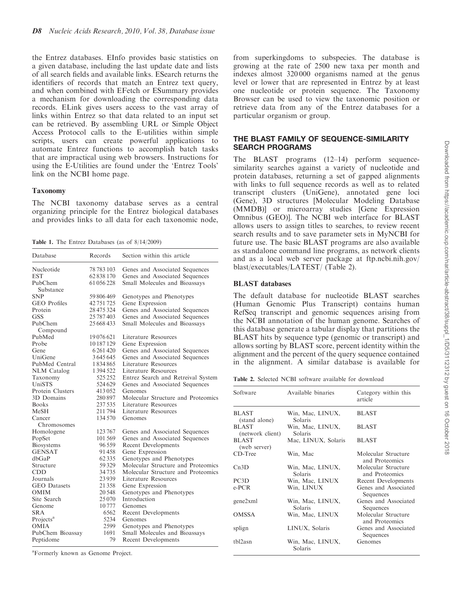the Entrez databases. EInfo provides basic statistics on a given database, including the last update date and lists of all search fields and available links. ESearch returns the identifiers of records that match an Entrez text query, and when combined with EFetch or ESummary provides a mechanism for downloading the corresponding data records. ELink gives users access to the vast array of links within Entrez so that data related to an input set can be retrieved. By assembling URL or Simple Object Access Protocol calls to the E-utilities within simple scripts, users can create powerful applications to automate Entrez functions to accomplish batch tasks that are impractical using web browsers. Instructions for using the E-Utilities are found under the 'Entrez Tools' link on the NCBI home page.

#### Taxonomy

The NCBI taxonomy database serves as a central organizing principle for the Entrez biological databases and provides links to all data for each taxonomic node,

Table 1. The Entrez Databases (as of 8/14/2009)

| Database              | Records       | Section within this article        |
|-----------------------|---------------|------------------------------------|
| Nucleotide            | 78 783 103    | Genes and Associated Sequences     |
| <b>EST</b>            | 62838170      | Genes and Associated Sequences     |
| PubChem               | 61056228      | Small Molecules and Bioassays      |
| Substance             |               |                                    |
| <b>SNP</b>            | 59 806 469    | Genotypes and Phenotypes           |
| <b>GEO</b> Profiles   | 42 751 725    | Gene Expression                    |
| Protein               | 28 475 324    | Genes and Associated Sequences     |
| <b>GSS</b>            | 25 787 403    | Genes and Associated Sequences     |
| PubChem               | 25 668 433    | Small Molecules and Bioassays      |
| Compound              |               |                                    |
| PubMed                | 19 076 621    | Literature Resources               |
| Probe                 | 10 187 129    | Gene Expression                    |
| Gene                  | 6 2 6 1 4 2 0 | Genes and Associated Sequences     |
| UniGene               | 3645645       | Genes and Associated Sequences     |
| PubMed Central        | 1834865       | Literature Resources               |
| <b>NLM</b> Catalog    | 1 394 522     | Literature Resources               |
| Taxonomy              | 525252        | Entrez Search and Retreival System |
| UniSTS                | 524629        | Genes and Associated Sequences     |
| Protein Clusters      | 413052        | Genomes                            |
| 3D Domains            | 280897        | Molecular Structure and Proteomics |
| <b>Books</b>          | 237535        | Literature Resources               |
| MeSH                  | 211794        | Literature Resources               |
| Cancer                | 134570        | Genomes                            |
| Chromosomes           |               |                                    |
| Homologene            | 123767        | Genes and Associated Sequences     |
| PopSet                | 101569        | Genes and Associated Sequences     |
| Biosystems            | 96559         | Recent Developments                |
| <b>GENSAT</b>         | 91458         | Gene Expression                    |
| dbGaP                 | 62335         | Genotypes and Phenotypes           |
| Structure             | 59329         | Molecular Structure and Proteomics |
| <b>CDD</b>            | 34735         | Molecular Structure and Proteomics |
| Journals              | 23939         | Literature Resources               |
| <b>GEO</b> Datasets   | 21358         | Gene Expression                    |
| <b>OMIM</b>           | 20548         | Genotypes and Phenotypes           |
| Site Search           | 25070         | Introduction                       |
| Genome                | 10777         | Genomes                            |
| SRA                   | 6562          | Recent Developments                |
| Projects <sup>a</sup> | 5234          | Genomes                            |
| <b>OMIA</b>           | 2599          | Genotypes and Phenotypes           |
| PubChem Bioassay      | 1691          | Small Molecules and Bioassays      |
| Peptidome             | 79            | Recent Developments                |

<sup>a</sup>Formerly known as Genome Project.

from superkingdoms to subspecies. The database is growing at the rate of 2500 new taxa per month and indexes almost 320 000 organisms named at the genus level or lower that are represented in Entrez by at least one nucleotide or protein sequence. The Taxonomy Browser can be used to view the taxonomic position or retrieve data from any of the Entrez databases for a particular organism or group.

## THE BLAST FAMILY OF SEQUENCE-SIMILARITY SEARCH PROGRAMS

The BLAST programs (12–14) perform sequencesimilarity searches against a variety of nucleotide and protein databases, returning a set of gapped alignments with links to full sequence records as well as to related transcript clusters (UniGene), annotated gene loci (Gene), 3D structures [Molecular Modeling Database (MMDB)] or microarray studies [Gene Expression Omnibus (GEO)]. The NCBI web interface for BLAST allows users to assign titles to searches, to review recent search results and to save parameter sets in MyNCBI for future use. The basic BLAST programs are also available as standalone command line programs, as network clients and as a local web server package at ftp.ncbi.nih.gov/ blast/executables/LATEST/ (Table 2).

#### BLAST databases

The default database for nucleotide BLAST searches (Human Genomic Plus Transcript) contains human RefSeq transcript and genomic sequences arising from the NCBI annotation of the human genome. Searches of this database generate a tabular display that partitions the BLAST hits by sequence type (genomic or transcript) and allows sorting by BLAST score, percent identity within the alignment and the percent of the query sequence contained in the alignment. A similar database is available for

Table 2. Selected NCBI software available for download

| Software                         | Available binaries          | Category within this<br>article       |
|----------------------------------|-----------------------------|---------------------------------------|
| <b>BLAST</b><br>(stand alone)    | Win, Mac, LINUX,<br>Solaris | <b>BLAST</b>                          |
| <b>BLAST</b><br>(network client) | Win, Mac, LINUX,<br>Solaris | <b>BLAST</b>                          |
| <b>BLAST</b><br>(web server)     | Mac, LINUX, Solaris         | <b>BLAST</b>                          |
| $CD$ -Tree                       | Win, Mac                    | Molecular Structure<br>and Proteomics |
| Cn3D                             | Win, Mac, LINUX,<br>Solaris | Molecular Structure<br>and Proteomics |
| PC <sub>3</sub> D                | Win, Mac, LINUX             | Recent Developments                   |
| $e$ -PCR                         | Win, LINUX                  | Genes and Associated<br>Sequences     |
| gene2xml                         | Win, Mac, LINUX,<br>Solaris | Genes and Associated<br>Sequences     |
| <b>OMSSA</b>                     | Win, Mac, LINUX             | Molecular Structure<br>and Proteomics |
| splign                           | LINUX, Solaris              | Genes and Associated<br>Sequences     |
| tbl2asn                          | Win, Mac, LINUX,<br>Solaris | Genomes                               |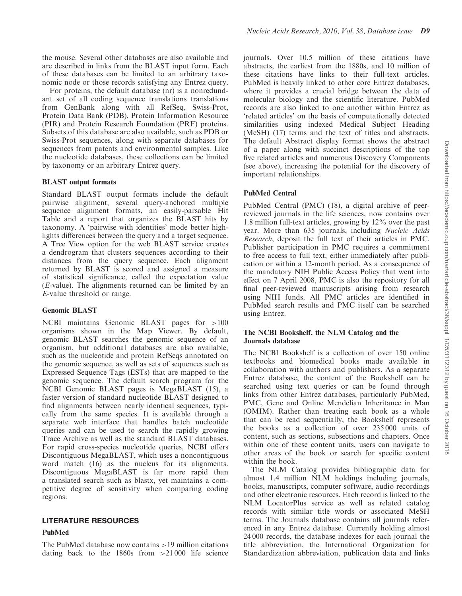the mouse. Several other databases are also available and are described in links from the BLAST input form. Each of these databases can be limited to an arbitrary taxonomic node or those records satisfying any Entrez query.

For proteins, the default database (nr) is a nonredundant set of all coding sequence translations translations from GenBank along with all RefSeq, Swiss-Prot, Protein Data Bank (PDB), Protein Information Resource (PIR) and Protein Research Foundation (PRF) proteins. Subsets of this database are also available, such as PDB or Swiss-Prot sequences, along with separate databases for sequences from patents and environmental samples. Like the nucleotide databases, these collections can be limited by taxonomy or an arbitrary Entrez query.

#### BLAST output formats

Standard BLAST output formats include the default pairwise alignment, several query-anchored multiple sequence alignment formats, an easily-parsable Hit Table and a report that organizes the BLAST hits by taxonomy. A 'pairwise with identities' mode better highlights differences between the query and a target sequence. A Tree View option for the web BLAST service creates a dendrogram that clusters sequences according to their distances from the query sequence. Each alignment returned by BLAST is scored and assigned a measure of statistical significance, called the expectation value (E-value). The alignments returned can be limited by an E-value threshold or range.

#### Genomic BLAST

NCBI maintains Genomic BLAST pages for >100 organisms shown in the Map Viewer. By default, genomic BLAST searches the genomic sequence of an organism, but additional databases are also available, such as the nucleotide and protein RefSeqs annotated on the genomic sequence, as well as sets of sequences such as Expressed Sequence Tags (ESTs) that are mapped to the genomic sequence. The default search program for the NCBI Genomic BLAST pages is MegaBLAST (15), a faster version of standard nucleotide BLAST designed to find alignments between nearly identical sequences, typically from the same species. It is available through a separate web interface that handles batch nucleotide queries and can be used to search the rapidly growing Trace Archive as well as the standard BLAST databases. For rapid cross-species nucleotide queries, NCBI offers Discontiguous MegaBLAST, which uses a noncontiguous word match (16) as the nucleus for its alignments. Discontiguous MegaBLAST is far more rapid than a translated search such as blastx, yet maintains a competitive degree of sensitivity when comparing coding regions.

#### LITERATURE RESOURCES

#### PubMed

The PubMed database now contains >19 million citations dating back to the 1860s from >21 000 life science journals. Over 10.5 million of these citations have abstracts, the earliest from the 1880s, and 10 million of these citations have links to their full-text articles. PubMed is heavily linked to other core Entrez databases, where it provides a crucial bridge between the data of molecular biology and the scientific literature. PubMed records are also linked to one another within Entrez as 'related articles' on the basis of computationally detected similarities using indexed Medical Subject Heading (MeSH) (17) terms and the text of titles and abstracts. The default Abstract display format shows the abstract of a paper along with succinct descriptions of the top five related articles and numerous Discovery Components (see above), increasing the potential for the discovery of important relationships.

## PubMed Central

PubMed Central (PMC) (18), a digital archive of peerreviewed journals in the life sciences, now contains over 1.8 million full-text articles, growing by 12% over the past year. More than 635 journals, including Nucleic Acids Research, deposit the full text of their articles in PMC. Publisher participation in PMC requires a commitment to free access to full text, either immediately after publication or within a 12-month period. As a consequence of the mandatory NIH Public Access Policy that went into effect on 7 April 2008, PMC is also the repository for all final peer-reviewed manuscripts arising from research using NIH funds. All PMC articles are identified in PubMed search results and PMC itself can be searched using Entrez.

#### The NCBI Bookshelf, the NLM Catalog and the Journals database

The NCBI Bookshelf is a collection of over 150 online textbooks and biomedical books made available in collaboration with authors and publishers. As a separate Entrez database, the content of the Bookshelf can be searched using text queries or can be found through links from other Entrez databases, particularly PubMed, PMC, Gene and Online Mendelian Inheritance in Man (OMIM). Rather than treating each book as a whole that can be read sequentially, the Bookshelf represents the books as a collection of over 235 000 units of content, such as sections, subsections and chapters. Once within one of these content units, users can navigate to other areas of the book or search for specific content within the book.

The NLM Catalog provides bibliographic data for almost 1.4 million NLM holdings including journals, books, manuscripts, computer software, audio recordings and other electronic resources. Each record is linked to the NLM LocatorPlus service as well as related catalog records with similar title words or associated MeSH terms. The Journals database contains all journals referenced in any Entrez database. Currently holding almost 24 000 records, the database indexes for each journal the title abbreviation, the International Organization for Standardization abbreviation, publication data and links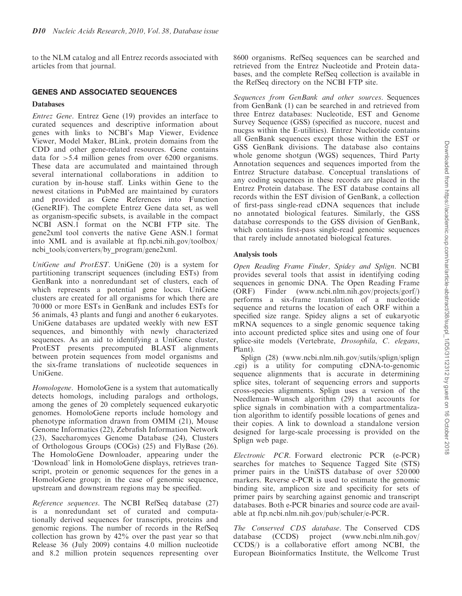to the NLM catalog and all Entrez records associated with articles from that journal.

#### GENES AND ASSOCIATED SEQUENCES

#### Databases

Entrez Gene. Entrez Gene (19) provides an interface to curated sequences and descriptive information about genes with links to NCBI's Map Viewer, Evidence Viewer, Model Maker, BLink, protein domains from the CDD and other gene-related resources. Gene contains data for >5.4 million genes from over 6200 organisms. These data are accumulated and maintained through several international collaborations in addition to curation by in-house staff. Links within Gene to the newest citations in PubMed are maintained by curators and provided as Gene References into Function (GeneRIF). The complete Entrez Gene data set, as well as organism-specific subsets, is available in the compact NCBI ASN.1 format on the NCBI FTP site. The gene2xml tool converts the native Gene ASN.1 format into XML and is available at ftp.ncbi.nih.gov/toolbox/ ncbi tools/converters/by program/gene2xml.

UniGene and ProtEST. UniGene (20) is a system for partitioning transcript sequences (including ESTs) from GenBank into a nonredundant set of clusters, each of which represents a potential gene locus. UniGene clusters are created for all organisms for which there are 70 000 or more ESTs in GenBank and includes ESTs for 56 animals, 43 plants and fungi and another 6 eukaryotes. UniGene databases are updated weekly with new EST sequences, and bimonthly with newly characterized sequences. As an aid to identifying a UniGene cluster, ProtEST presents precomputed BLAST alignments between protein sequences from model organisms and the six-frame translations of nucleotide sequences in UniGene.

Homologene. HomoloGene is a system that automatically detects homologs, including paralogs and orthologs, among the genes of 20 completely sequenced eukaryotic genomes. HomoloGene reports include homology and phenotype information drawn from OMIM (21), Mouse Genome Informatics (22), Zebrafish Information Network (23), Saccharomyces Genome Database (24), Clusters of Orthologous Groups (COGs) (25) and FlyBase (26). The HomoloGene Downloader, appearing under the 'Download' link in HomoloGene displays, retrieves transcript, protein or genomic sequences for the genes in a HomoloGene group; in the case of genomic sequence, upstream and downstream regions may be specified.

Reference sequences. The NCBI RefSeq database (27) is a nonredundant set of curated and computationally derived sequences for transcripts, proteins and genomic regions. The number of records in the RefSeq collection has grown by 42% over the past year so that Release 36 (July 2009) contains 4.0 million nucleotide and 8.2 million protein sequences representing over 8600 organisms. RefSeq sequences can be searched and retrieved from the Entrez Nucleotide and Protein databases, and the complete RefSeq collection is available in the RefSeq directory on the NCBI FTP site.

Sequences from GenBank and other sources. Sequences from GenBank (1) can be searched in and retrieved from three Entrez databases: Nucleotide, EST and Genome Survey Sequence (GSS) (specified as nuccore, nucest and nucgss within the E-utilities). Entrez Nucleotide contains all GenBank sequences except those within the EST or GSS GenBank divisions. The database also contains whole genome shotgun (WGS) sequences, Third Party Annotation sequences and sequences imported from the Entrez Structure database. Conceptual translations of any coding sequences in these records are placed in the Entrez Protein database. The EST database contains all records within the EST division of GenBank, a collection of first-pass single-read cDNA sequences that include no annotated biological features. Similarly, the GSS database corresponds to the GSS division of GenBank, which contains first-pass single-read genomic sequences that rarely include annotated biological features.

#### Analysis tools

Open Reading Frame Finder, Spidey and Splign. NCBI provides several tools that assist in identifying coding sequences in genomic DNA. The Open Reading Frame (ORF) Finder (www.ncbi.nlm.nih.gov/projects/gorf/) performs a six-frame translation of a nucleotide sequence and returns the location of each ORF within a specified size range. Spidey aligns a set of eukaryotic mRNA sequences to a single genomic sequence taking into account predicted splice sites and using one of four splice-site models (Vertebrate, Drosophila, C. elegans, Plant).

Splign (28) (www.ncbi.nlm.nih.gov/sutils/splign/splign .cgi) is a utility for computing cDNA-to-genomic sequence alignments that is accurate in determining splice sites, tolerant of sequencing errors and supports cross-species alignments. Splign uses a version of the Needleman–Wunsch algorithm (29) that accounts for splice signals in combination with a compartmentalization algorithm to identify possible locations of genes and their copies. A link to download a standalone version designed for large-scale processing is provided on the Splign web page.

Electronic PCR. Forward electronic PCR (e-PCR) searches for matches to Sequence Tagged Site (STS) primer pairs in the UniSTS database of over 520 000 markers. Reverse e-PCR is used to estimate the genomic binding site, amplicon size and specificity for sets of primer pairs by searching against genomic and transcript databases. Both e-PCR binaries and source code are available at ftp.ncbi.nlm.nih.gov/pub/schuler/e-PCR.

The Conserved CDS database. The Conserved CDS database (CCDS) project (www.ncbi.nlm.nih.gov/ CCDS/) is a collaborative effort among NCBI, the European Bioinformatics Institute, the Wellcome Trust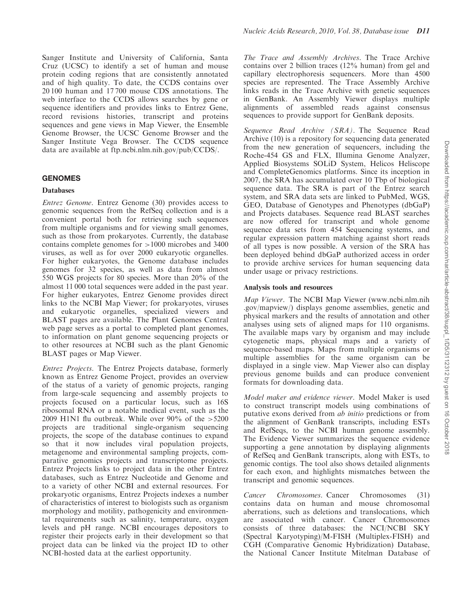Sanger Institute and University of California, Santa Cruz (UCSC) to identify a set of human and mouse protein coding regions that are consistently annotated and of high quality. To date, the CCDS contains over 20 100 human and 17 700 mouse CDS annotations. The web interface to the CCDS allows searches by gene or sequence identifiers and provides links to Entrez Gene, record revisions histories, transcript and proteins sequences and gene views in Map Viewer, the Ensemble Genome Browser, the UCSC Genome Browser and the Sanger Institute Vega Browser. The CCDS sequence data are available at ftp.ncbi.nlm.nih.gov/pub/CCDS/.

#### GENOMES

#### Databases

Entrez Genome. Entrez Genome (30) provides access to genomic sequences from the RefSeq collection and is a convenient portal both for retrieving such sequences from multiple organisms and for viewing small genomes, such as those from prokaryotes. Currently, the database contains complete genomes for >1000 microbes and 3400 viruses, as well as for over 2000 eukaryotic organelles. For higher eukaryotes, the Genome database includes genomes for 32 species, as well as data from almost 550 WGS projects for 80 species. More than 20% of the almost 11 000 total sequences were added in the past year. For higher eukaryotes, Entrez Genome provides direct links to the NCBI Map Viewer; for prokaryotes, viruses and eukaryotic organelles, specialized viewers and BLAST pages are available. The Plant Genomes Central web page serves as a portal to completed plant genomes, to information on plant genome sequencing projects or to other resources at NCBI such as the plant Genomic BLAST pages or Map Viewer.

Entrez Projects. The Entrez Projects database, formerly known as Entrez Genome Project, provides an overview of the status of a variety of genomic projects, ranging from large-scale sequencing and assembly projects to projects focused on a particular locus, such as 16S ribosomal RNA or a notable medical event, such as the 2009 H1N1 flu outbreak. While over  $90\%$  of the  $>5200$ projects are traditional single-organism sequencing projects, the scope of the database continues to expand so that it now includes viral population projects, metagenome and environmental sampling projects, comparative genomics projects and transcriptome projects. Entrez Projects links to project data in the other Entrez databases, such as Entrez Nucleotide and Genome and to a variety of other NCBI and external resources. For prokaryotic organisms, Entrez Projects indexes a number of characteristics of interest to biologists such as organism morphology and motility, pathogenicity and environmental requirements such as salinity, temperature, oxygen levels and pH range. NCBI encourages depositors to register their projects early in their development so that project data can be linked via the project ID to other NCBI-hosted data at the earliest opportunity.

The Trace and Assembly Archives. The Trace Archive contains over 2 billion traces (12% human) from gel and capillary electrophoresis sequencers. More than 4500 species are represented. The Trace Assembly Archive links reads in the Trace Archive with genetic sequences in GenBank. An Assembly Viewer displays multiple alignments of assembled reads against consensus sequences to provide support for GenBank deposits.

Sequence Read Archive (SRA). The Sequence Read Archive (10) is a repository for sequencing data generated from the new generation of sequencers, including the Roche-454 GS and FLX, Illumina Genome Analyzer, Applied Biosystems SOLiD System, Helicos Heliscope and CompleteGenomics platforms. Since its inception in 2007, the SRA has accumulated over 10 Tbp of biological sequence data. The SRA is part of the Entrez search system, and SRA data sets are linked to PubMed, WGS, GEO, Database of Genotypes and Phenotypes (dbGaP) and Projects databases. Sequence read BLAST searches are now offered for transcript and whole genome sequence data sets from 454 Sequencing systems, and regular expression pattern matching against short reads of all types is now possible. A version of the SRA has been deployed behind dbGaP authorized access in order to provide archive services for human sequencing data under usage or privacy restrictions.

#### Analysis tools and resources

Map Viewer. The NCBI Map Viewer (www.ncbi.nlm.nih .gov/mapview/) displays genome assemblies, genetic and physical markers and the results of annotation and other analyses using sets of aligned maps for 110 organisms. The available maps vary by organism and may include cytogenetic maps, physical maps and a variety of sequence-based maps. Maps from multiple organisms or multiple assemblies for the same organism can be displayed in a single view. Map Viewer also can display previous genome builds and can produce convenient formats for downloading data.

Model maker and evidence viewer. Model Maker is used to construct transcript models using combinations of putative exons derived from ab initio predictions or from the alignment of GenBank transcripts, including ESTs and RefSeqs, to the NCBI human genome assembly. The Evidence Viewer summarizes the sequence evidence supporting a gene annotation by displaying alignments of RefSeq and GenBank transcripts, along with ESTs, to genomic contigs. The tool also shows detailed alignments for each exon, and highlights mismatches between the transcript and genomic sequences.

Cancer Chromosomes. Cancer Chromosomes (31) contains data on human and mouse chromosomal aberrations, such as deletions and translocations, which are associated with cancer. Cancer Chromosomes consists of three databases: the NCI/NCBI SKY (Spectral Karyotyping)/M-FISH (Multiplex-FISH) and CGH (Comparative Genomic Hybridization) Database, the National Cancer Institute Mitelman Database of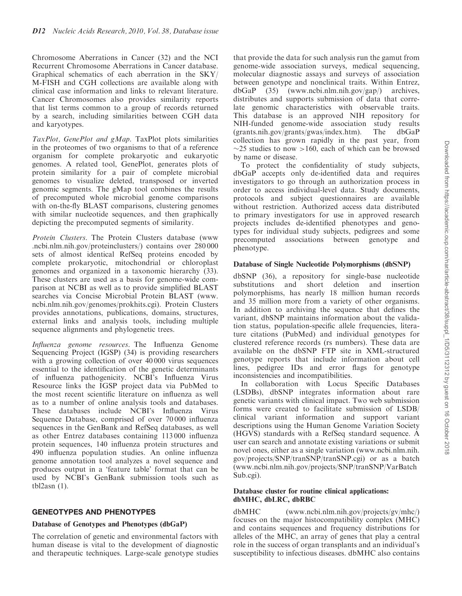Chromosome Aberrations in Cancer (32) and the NCI Recurrent Chromosome Aberrations in Cancer database. Graphical schematics of each aberration in the SKY/ M-FISH and CGH collections are available along with clinical case information and links to relevant literature. Cancer Chromosomes also provides similarity reports that list terms common to a group of records returned by a search, including similarities between CGH data and karyotypes.

TaxPlot, GenePlot and gMap. TaxPlot plots similarities in the proteomes of two organisms to that of a reference organism for complete prokaryotic and eukaryotic genomes. A related tool, GenePlot, generates plots of protein similarity for a pair of complete microbial genomes to visualize deleted, transposed or inverted genomic segments. The gMap tool combines the results of precomputed whole microbial genome comparisons with on-the-fly BLAST comparisons, clustering genomes with similar nucleotide sequences, and then graphically depicting the precomputed segments of similarity.

Protein Clusters. The Protein Clusters database (www .ncbi.nlm.nih.gov/proteinclusters/) contains over 280 000 sets of almost identical RefSeq proteins encoded by complete prokaryotic, mitochondrial or chloroplast genomes and organized in a taxonomic hierarchy (33). These clusters are used as a basis for genome-wide comparison at NCBI as well as to provide simplified BLAST searches via Concise Microbial Protein BLAST (www. ncbi.nlm.nih.gov/genomes/prokhits.cgi). Protein Clusters provides annotations, publications, domains, structures, external links and analysis tools, including multiple sequence alignments and phylogenetic trees.

Influenza genome resources. The Influenza Genome Sequencing Project (IGSP) (34) is providing researchers with a growing collection of over 40 000 virus sequences essential to the identification of the genetic determinants of influenza pathogenicity. NCBI's Influenza Virus Resource links the IGSP project data via PubMed to the most recent scientific literature on influenza as well as to a number of online analysis tools and databases. These databases include NCBI's Influenza Virus Sequence Database, comprised of over 70 000 influenza sequences in the GenBank and RefSeq databases, as well as other Entrez databases containing 113 000 influenza protein sequences, 140 influenza protein structures and 490 influenza population studies. An online influenza genome annotation tool analyzes a novel sequence and produces output in a 'feature table' format that can be used by NCBI's GenBank submission tools such as tbl $2$ asn  $(1)$ .

## GENEOTYPES AND PHENOTYPES

## Database of Genotypes and Phenotypes (dbGaP)

The correlation of genetic and environmental factors with human disease is vital to the development of diagnostic and therapeutic techniques. Large-scale genotype studies

that provide the data for such analysis run the gamut from genome-wide association surveys, medical sequencing, molecular diagnostic assays and surveys of association between genotype and nonclinical traits. Within Entrez, dbGaP (35) (www.ncbi.nlm.nih.gov/gap/) archives, distributes and supports submission of data that correlate genomic characteristics with observable traits. This database is an approved NIH repository for NIH-funded genome-wide association study results (grants.nih.gov/grants/gwas/index.htm). The dbGaP collection has grown rapidly in the past year, from  $\sim$ 25 studies to now >160, each of which can be browsed by name or disease.

To protect the confidentiality of study subjects, dbGaP accepts only de-identified data and requires investigators to go through an authorization process in order to access individual-level data. Study documents, protocols and subject questionnaires are available without restriction. Authorized access data distributed to primary investigators for use in approved research projects includes de-identified phenotypes and genotypes for individual study subjects, pedigrees and some precomputed associations between genotype and phenotype.

#### Database of Single Nucleotide Polymorphisms (dbSNP)

dbSNP (36), a repository for single-base nucleotide substitutions and short deletion and insertion polymorphisms, has nearly 18 million human records and 35 million more from a variety of other organisms. In addition to archiving the sequence that defines the variant, dbSNP maintains information about the validation status, population-specific allele frequencies, literature citations (PubMed) and individual genotypes for clustered reference records (rs numbers). These data are available on the dbSNP FTP site in XML-structured genotype reports that include information about cell lines, pedigree IDs and error flags for genotype inconsistencies and incompatibilities.

In collaboration with Locus Specific Databases (LSDBs), dbSNP integrates information about rare genetic variants with clinical impact. Two web submission forms were created to facilitate submission of LSDB/ clinical variant information and support variant descriptions using the Human Genome Variation Society (HGVS) standards with a RefSeq standard sequence. A user can search and annotate existing variations or submit novel ones, either as a single variation (www.ncbi.nlm.nih. gov/projects/SNP/tranSNP/tranSNP.cgi) or as a batch (www.ncbi.nlm.nih.gov/projects/SNP/tranSNP/VarBatch Sub.cgi).

#### Database cluster for routine clinical applications: dbMHC, dbLRC, dbRBC

dbMHC (www.ncbi.nlm.nih.gov/projects/gv/mhc/) focuses on the major histocompatibility complex (MHC) and contains sequences and frequency distributions for alleles of the MHC, an array of genes that play a central role in the success of organ transplants and an individual's susceptibility to infectious diseases. dbMHC also contains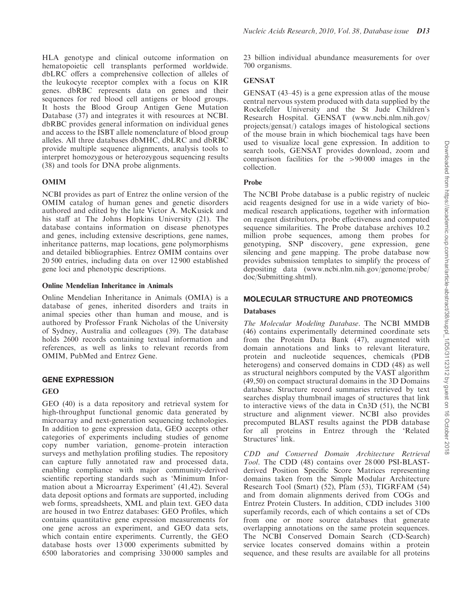HLA genotype and clinical outcome information on hematopoietic cell transplants performed worldwide. dbLRC offers a comprehensive collection of alleles of the leukocyte receptor complex with a focus on KIR genes. dbRBC represents data on genes and their sequences for red blood cell antigens or blood groups. It hosts the Blood Group Antigen Gene Mutation Database (37) and integrates it with resources at NCBI. dbRBC provides general information on individual genes and access to the ISBT allele nomenclature of blood group alleles. All three databases dbMHC, dbLRC and dbRBC provide multiple sequence alignments, analysis tools to interpret homozygous or heterozygous sequencing results (38) and tools for DNA probe alignments.

# OMIM

NCBI provides as part of Entrez the online version of the OMIM catalog of human genes and genetic disorders authored and edited by the late Victor A. McKusick and his staff at The Johns Hopkins University (21). The database contains information on disease phenotypes and genes, including extensive descriptions, gene names, inheritance patterns, map locations, gene polymorphisms and detailed bibliographies. Entrez OMIM contains over 20 500 entries, including data on over 12 900 established gene loci and phenotypic descriptions.

#### Online Mendelian Inheritance in Animals

Online Mendelian Inheritance in Animals (OMIA) is a database of genes, inherited disorders and traits in animal species other than human and mouse, and is authored by Professor Frank Nicholas of the University of Sydney, Australia and colleagues (39). The database holds 2600 records containing textual information and references, as well as links to relevant records from OMIM, PubMed and Entrez Gene.

## GENE EXPRESSION

## GEO

GEO (40) is a data repository and retrieval system for high-throughput functional genomic data generated by microarray and next-generation sequencing technologies. In addition to gene expression data, GEO accepts other categories of experiments including studies of genome copy number variation, genome–protein interaction surveys and methylation profiling studies. The repository can capture fully annotated raw and processed data, enabling compliance with major community-derived scientific reporting standards such as 'Minimum Information about a Microarray Experiment' (41,42). Several data deposit options and formats are supported, including web forms, spreadsheets, XML and plain text. GEO data are housed in two Entrez databases: GEO Profiles, which contains quantitative gene expression measurements for one gene across an experiment, and GEO data sets, which contain entire experiments. Currently, the GEO database hosts over 13 000 experiments submitted by 6500 laboratories and comprising 330 000 samples and

23 billion individual abundance measurements for over 700 organisms.

# GENSAT

GENSAT (43–45) is a gene expression atlas of the mouse central nervous system produced with data supplied by the Rockefeller University and the St Jude Children's Research Hospital. GENSAT (www.ncbi.nlm.nih.gov/ projects/gensat/) catalogs images of histological sections of the mouse brain in which biochemical tags have been used to visualize local gene expression. In addition to search tools, GENSAT provides download, zoom and comparison facilities for the >90 000 images in the collection.

## Probe

The NCBI Probe database is a public registry of nucleic acid reagents designed for use in a wide variety of biomedical research applications, together with information on reagent distributors, probe effectiveness and computed sequence similarities. The Probe database archives 10.2 million probe sequences, among them probes for genotyping, SNP discovery, gene expression, gene silencing and gene mapping. The probe database now provides submission templates to simplify the process of depositing data (www.ncbi.nlm.nih.gov/genome/probe/ doc/Submitting.shtml).

# MOLECULAR STRUCTURE AND PROTEOMICS

## **Databases**

The Molecular Modeling Database. The NCBI MMDB (46) contains experimentally determined coordinate sets from the Protein Data Bank (47), augmented with domain annotations and links to relevant literature, protein and nucleotide sequences, chemicals (PDB heterogens) and conserved domains in CDD (48) as well as structural neighbors computed by the VAST algorithm (49,50) on compact structural domains in the 3D Domains database. Structure record summaries retrieved by text searches display thumbnail images of structures that link to interactive views of the data in Cn3D (51), the NCBI structure and alignment viewer. NCBI also provides precomputed BLAST results against the PDB database for all proteins in Entrez through the 'Related Structures' link.

CDD and Conserved Domain Architecture Retrieval Tool. The CDD (48) contains over 28 000 PSI-BLASTderived Position Specific Score Matrices representing domains taken from the Simple Modular Architecture Research Tool (Smart) (52), Pfam (53), TIGRFAM (54) and from domain alignments derived from COGs and Entrez Protein Clusters. In addition, CDD includes 3100 superfamily records, each of which contains a set of CDs from one or more source databases that generate overlapping annotations on the same protein sequences. The NCBI Conserved Domain Search (CD-Search) service locates conserved domains within a protein sequence, and these results are available for all proteins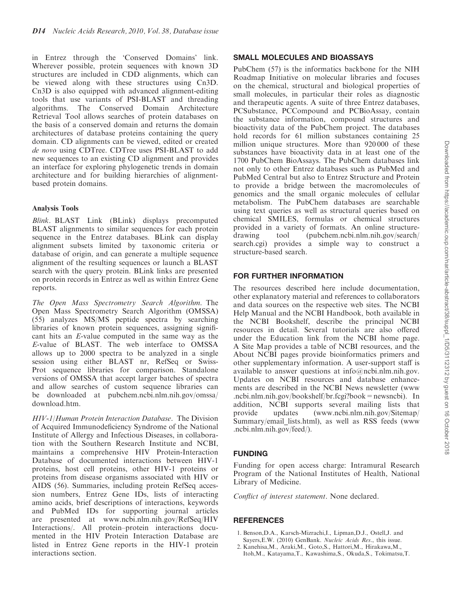in Entrez through the 'Conserved Domains' link. Wherever possible, protein sequences with known 3D structures are included in CDD alignments, which can be viewed along with these structures using Cn3D. Cn3D is also equipped with advanced alignment-editing tools that use variants of PSI-BLAST and threading algorithms. The Conserved Domain Architecture Retrieval Tool allows searches of protein databases on the basis of a conserved domain and returns the domain architectures of database proteins containing the query domain. CD alignments can be viewed, edited or created de novo using CDTree. CDTree uses PSI-BLAST to add new sequences to an existing CD alignment and provides an interface for exploring phylogenetic trends in domain architecture and for building hierarchies of alignmentbased protein domains.

## Analysis Tools

Blink. BLAST Link (BLink) displays precomputed BLAST alignments to similar sequences for each protein sequence in the Entrez databases. BLink can display alignment subsets limited by taxonomic criteria or database of origin, and can generate a multiple sequence alignment of the resulting sequences or launch a BLAST search with the query protein. BLink links are presented on protein records in Entrez as well as within Entrez Gene reports.

The Open Mass Spectrometry Search Algorithm. The Open Mass Spectrometry Search Algorithm (OMSSA) (55) analyzes MS/MS peptide spectra by searching libraries of known protein sequences, assigning significant hits an E-value computed in the same way as the E-value of BLAST. The web interface to OMSSA allows up to 2000 spectra to be analyzed in a single session using either BLAST nr, RefSeq or Swiss-Prot sequence libraries for comparison. Standalone versions of OMSSA that accept larger batches of spectra and allow searches of custom sequence libraries can be downloaded at pubchem.ncbi.nlm.nih.gov/omssa/ download.htm.

HIV-1/Human Protein Interaction Database. The Division of Acquired Immunodeficiency Syndrome of the National Institute of Allergy and Infectious Diseases, in collaboration with the Southern Research Institute and NCBI, maintains a comprehensive HIV Protein-Interaction Database of documented interactions between HIV-1 proteins, host cell proteins, other HIV-1 proteins or proteins from disease organisms associated with HIV or AIDS (56). Summaries, including protein RefSeq accession numbers, Entrez Gene IDs, lists of interacting amino acids, brief descriptions of interactions, keywords and PubMed IDs for supporting journal articles are presented at www.ncbi.nlm.nih.gov/RefSeq/HIV Interactions/. All protein–protein interactions documented in the HIV Protein Interaction Database are listed in Entrez Gene reports in the HIV-1 protein interactions section.

## SMALL MOLECULES AND BIOASSAYS

PubChem (57) is the informatics backbone for the NIH Roadmap Initiative on molecular libraries and focuses on the chemical, structural and biological properties of small molecules, in particular their roles as diagnostic and therapeutic agents. A suite of three Entrez databases, PCSubstance, PCCompound and PCBioAssay, contain the substance information, compound structures and bioactivity data of the PubChem project. The databases hold records for 61 million substances containing 25 million unique structures. More than 920 000 of these substances have bioactivity data in at least one of the 1700 PubChem BioAssays. The PubChem databases link not only to other Entrez databases such as PubMed and PubMed Central but also to Entrez Structure and Protein to provide a bridge between the macromolecules of genomics and the small organic molecules of cellular metabolism. The PubChem databases are searchable using text queries as well as structural queries based on chemical SMILES, formulas or chemical structures provided in a variety of formats. An online structuredrawing tool (pubchem.ncbi.nlm.nih.gov/search/ search.cgi) provides a simple way to construct a structure-based search.

## FOR FURTHER INFORMATION

The resources described here include documentation, other explanatory material and references to collaborators and data sources on the respective web sites. The NCBI Help Manual and the NCBI Handbook, both available in the NCBI Bookshelf, describe the principal NCBI resources in detail. Several tutorials are also offered under the Education link from the NCBI home page. A Site Map provides a table of NCBI resources, and the About NCBI pages provide bioinformatics primers and other supplementary information. A user-support staff is available to answer questions at info@ncbi.nlm.nih.gov. Updates on NCBI resources and database enhancements are described in the NCBI News newsletter (www .ncbi.nlm.nih.gov/bookshelf/br.fcgi?book=newsncbi). In addition, NCBI supports several mailing lists that provide updates (www.ncbi.nlm.nih.gov/Sitemap/ provide updates (www.ncbi.nlm.nih.gov/Sitemap/ Summary/email lists.html), as well as RSS feeds (www .ncbi.nlm.nih.gov/feed/).

# FUNDING

Funding for open access charge: Intramural Research Program of the National Institutes of Health, National Library of Medicine.

Conflict of interest statement. None declared.

# **REFERENCES**

- 1. Benson,D.A., Karsch-Mizrachi,I., Lipman,D.J., Ostell,J. and Sayers,E.W. (2010) GenBank. Nucleic Acids Res., this issue.
- 2. Kanehisa,M., Araki,M., Goto,S., Hattori,M., Hirakawa,M., Itoh,M., Katayama,T., Kawashima,S., Okuda,S., Tokimatsu,T.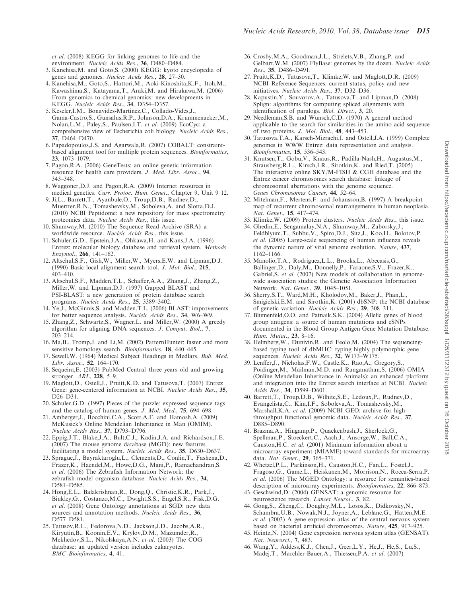et al. (2008) KEGG for linking genomes to life and the

- environment. Nucleic Acids Res., 36, D480–D484. 3. Kanehisa,M. and Goto,S. (2000) KEGG: kyoto encyclopedia of genes and genomes. Nucleic Acids Res., 28, 27–30.
- 4. Kanehisa,M., Goto,S., Hattori,M., Aoki-Kinoshita,K.F., Itoh,M., Kawashima,S., Katayama,T., Araki,M. and Hirakawa,M. (2006) From genomics to chemical genomics: new developments in KEGG. Nucleic Acids Res., 34, D354–D357.
- 5. Keseler,I.M., Bonavides-Martinez,C., Collado-Vides,J., Gama-Castro,S., Gunsalus,R.P., Johnson,D.A., Krummenacker,M., Nolan,L.M., Paley,S., Paulsen,I.T. et al. (2009) EcoCyc: a comprehensive view of Escherichia coli biology. Nucleic Acids Res., 37, D464–D470.
- 6. Papadopoulos,J.S. and Agarwala,R. (2007) COBALT: constraintbased alignment tool for multiple protein sequences. Bioinformatics, 23, 1073–1079.
- 7. Pagon,R.A. (2006) GeneTests: an online genetic information resource for health care providers. J. Med. Libr. Assoc., 94, 343–348.
- 8. Waggoner,D.J. and Pagon,R.A. (2009) Internet resources in medical genetics. Curr. Protoc. Hum. Genet., Chapter 9, Unit 9 12.
- 9. Ji,L., Barrett,T., Ayanbule,O., Troup,D.B., Rudnev,D., Muertter,R.N., Tomashevsky,M., Soboleva,A. and Slotta,D.J. (2010) NCBI Peptidome: a new repository for mass spectrometry proteomics data. Nucleic Acids Res., this issue.
- 10. Shumway,M. (2010) The Sequence Read Archive (SRA)–a worldwide resource. Nucleic Acids Res., this issue.
- 11. Schuler,G.D., Epstein,J.A., Ohkawa,H. and Kans,J.A. (1996) Entrez: molecular biology database and retrieval system. Methods Enzymol., 266, 141–162.
- 12. Altschul,S.F., Gish,W., Miller,W., Myers,E.W. and Lipman,D.J. (1990) Basic local alignment search tool. J. Mol. Biol., 215,  $403 - 410$
- 13. Altschul,S.F., Madden,T.L., Schaffer,A.A., Zhang,J., Zhang,Z., Miller,W. and Lipman,D.J. (1997) Gapped BLAST and PSI-BLAST: a new generation of protein database search programs. Nucleic Acids Res., 25, 3389–3402.
- 14. Ye,J., McGinnis,S. and Madden,T.L. (2006) BLAST: improvements for better sequence analysis. Nucleic Acids Res., 34, W6–W9.
- 15. Zhang,Z., Schwartz,S., Wagner,L. and Miller,W. (2000) A greedy algorithm for aligning DNA sequences. J. Comput. Biol., 7, 203–214.
- 16. Ma,B., Tromp,J. and Li,M. (2002) PatternHunter: faster and more sensitive homology search. Bioinformatics, 18, 440-445.
- 17. Sewell,W. (1964) Medical Subject Headings in Medlars. Bull. Med. Libr. Assoc., **52**, 164-170.
- 18. Sequeira,E. (2003) PubMed Central–three years old and growing stronger. ARL, 228, 5–9.
- 19. Maglott,D., Ostell,J., Pruitt,K.D. and Tatusova,T. (2007) Entrez Gene: gene-centered information at NCBI. Nucleic Acids Res., 35, D26–D31.
- 20. Schuler,G.D. (1997) Pieces of the puzzle: expressed sequence tags and the catalog of human genes. J. Mol. Med., 75, 694–698.
- 21. Amberger,J., Bocchini,C.A., Scott,A.F. and Hamosh,A. (2009) McKusick's Online Mendelian Inheritance in Man (OMIM). Nucleic Acids Res., 37, D793–D796.
- 22. Eppig,J.T., Blake,J.A., Bult,C.J., Kadin,J.A. and Richardson,J.E. (2007) The mouse genome database (MGD): new features facilitating a model system. Nucleic Acids Res., 35, D630–D637.
- 23. Sprague,J., Bayraktaroglu,L., Clements,D., Conlin,T., Fashena,D., Frazer,K., Haendel,M., Howe,D.G., Mani,P., Ramachandran,S. et al. (2006) The Zebrafish Information Network: the zebrafish model organism database. Nucleic Acids Res., 34, D581–D585.
- 24. Hong,E.L., Balakrishnan,R., Dong,Q., Christie,K.R., Park,J., Binkley,G., Costanzo,M.C., Dwight,S.S., Engel,S.R., Fisk,D.G. et al. (2008) Gene Ontology annotations at SGD: new data sources and annotation methods. Nucleic Acids Res., 36, D577–D581.
- 25. Tatusov,R.L., Fedorova,N.D., Jackson,J.D., Jacobs,A.R., Kiryutin,B., Koonin,E.V., Krylov,D.M., Mazumder,R., Mekhedov,S.L., Nikolskaya,A.N. et al. (2003) The COG database: an updated version includes eukaryotes. BMC Bioinformatics, 4, 41.
- 26. Crosby,M.A., Goodman,J.L., Strelets,V.B., Zhang,P. and Gelbart,W.M. (2007) FlyBase: genomes by the dozen. Nucleic Acids Res., 35, D486–D491.
- 27. Pruitt,K.D., Tatusova,T., Klimke,W. and Maglott,D.R. (2009) NCBI Reference Sequences: current status, policy and new initiatives. Nucleic Acids Res., 37, D32–D36.
- 28. Kapustin,Y., Souvorov,A., Tatusova,T. and Lipman,D. (2008) Splign: algorithms for computing spliced alignments with identification of paralogs. Biol. Direct., 3, 20.
- 29. Needleman,S.B. and Wunsch,C.D. (1970) A general method applicable to the search for similarities in the amino acid sequence of two proteins. J. Mol. Biol., 48, 443–453.
- 30. Tatusova,T.A., Karsch-Mizrachi,I. and Ostell,J.A. (1999) Complete genomes in WWW Entrez: data representation and analysis. Bioinformatics, 15, 536–543.
- 31. Knutsen,T., Gobu,V., Knaus,R., Padilla-Nash,H., Augustus,M., Strausberg,R.L., Kirsch,I.R., Sirotkin,K. and Ried,T. (2005) The interactive online SKY/M-FISH & CGH database and the Entrez cancer chromosomes search database: linkage of chromosomal aberrations with the genome sequence. Genes Chromosomes Cancer, 44, 52–64.
- 32. Mitelman,F., Mertens,F. and Johansson,B. (1997) A breakpoint map of recurrent chromosomal rearrangements in human neoplasia. Nat. Genet., 15, 417–474.
- 33. Klimke,W. (2009) Protein clusters. Nucleic Acids Res., this issue.
- 34. Ghedin,E., Sengamalay,N.A., Shumway,M., Zaborsky,J., Feldblyum,T., Subbu,V., Spiro,D.J., Sitz,J., Koo,H., Bolotov,P. et al. (2005) Large-scale sequencing of human influenza reveals the dynamic nature of viral genome evolution. Nature, 437, 1162–1166.
- 35. Manolio,T.A., Rodriguez,L.L., Brooks,L., Abecasis,G., Ballinger,D., Daly,M., Donnelly,P., Faraone,S.V., Frazer,K., Gabriel, S. et al. (2007) New models of collaboration in genomewide association studies: the Genetic Association Information Network. Nat. Genet., 39, 1045–1051.
- 36. Sherry,S.T., Ward,M.H., Kholodov,M., Baker,J., Phan,L., Smigielski,E.M. and Sirotkin,K. (2001) dbSNP: the NCBI database of genetic variation. Nucleic Acids Res., 29, 308–311.
- 37. Blumenfeld,O.O. and Patnaik,S.K. (2004) Allelic genes of blood group antigens: a source of human mutations and cSNPs documented in the Blood Group Antigen Gene Mutation Database. Hum. Mutat., 23, 8–16.
- 38. Helmberg,W., Dunivin,R. and Feolo,M. (2004) The sequencingbased typing tool of dbMHC: typing highly polymorphic gene sequences. Nucleic Acids Res., 32, W173–W175.
- 39. Lenffer,J., Nicholas,F.W., Castle,K., Rao,A., Gregory,S., Poidinger,M., Mailman,M.D. and Ranganathan,S. (2006) OMIA (Online Mendelian Inheritance in Animals): an enhanced platform and integration into the Entrez search interface at NCBI. Nucleic Acids Res., 34, D599–D601.
- 40. Barrett,T., Troup,D.B., Wilhite,S.E., Ledoux,P., Rudnev,D., Evangelista,C., Kim,I.F., Soboleva,A., Tomashevsky,M., Marshall,K.A. et al. (2009) NCBI GEO: archive for highthroughput functional genomic data. Nucleic Acids Res., 37, D885–D890.
- 41. Brazma,A., Hingamp,P., Quackenbush,J., Sherlock,G., Spellman,P., Stoeckert,C., Aach,J., Ansorge,W., Ball,C.A., Causton,H.C. et al. (2001) Minimum information about a microarray experiment (MIAME)-toward standards for microarray data. Nat. Genet., 29, 365–371.
- 42. Whetzel,P.L., Parkinson,H., Causton,H.C., Fan,L., Fostel,J., Fragoso,G., Game,L., Heiskanen,M., Morrison,N., Rocca-Serra,P. et al. (2006) The MGED Ontology: a resource for semantics-based description of microarray experiments. Bioinformatics, 22, 866-873.
- 43. Geschwind,D. (2004) GENSAT: a genomic resource for neuroscience research. Lancet Neurol., 3, 82.
- 44. Gong,S., Zheng,C., Doughty,M.L., Losos,K., Didkovsky,N., Schambra,U.B., Nowak,N.J., Joyner,A., Leblanc,G., Hatten,M.E. et al. (2003) A gene expression atlas of the central nervous system based on bacterial artificial chromosomes. Nature, 425, 917–925.
- 45. Heintz,N. (2004) Gene expression nervous system atlas (GENSAT). Nat. Neurosci., 7, 483.
- 46. Wang,Y., Addess,K.J., Chen,J., Geer,L.Y., He,J., He,S., Lu,S., Madej,T., Marchler-Bauer,A., Thiessen,P.A. et al. (2007)